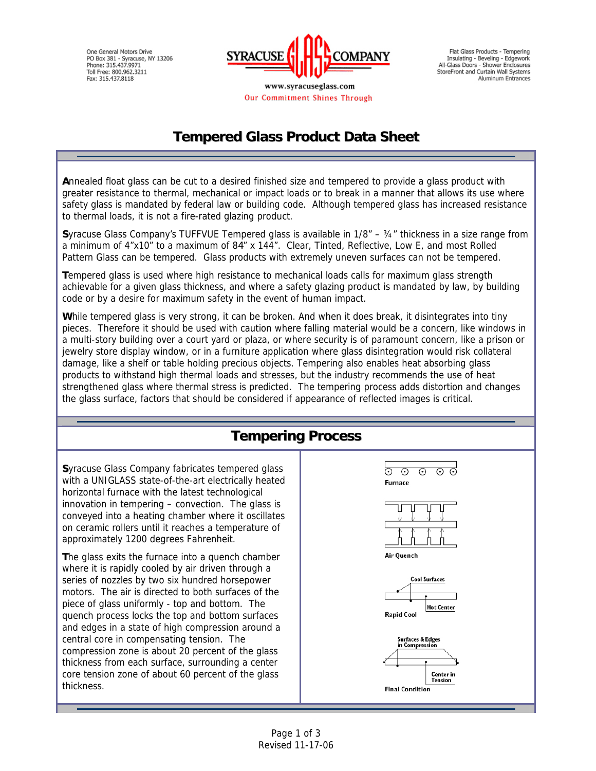One General Motors Drive PO Box 381 - Syracuse, NY 13206<br>Phone: 315.437.9971 Toll Free: 800.962.3211 Fax: 315.437.8118



Our Commitment Shines Through

Flat Glass Products - Tempering Insulating - Beveling - Edgework<br>All-Glass Doors - Shower Enclosures StoreFront and Curtain Wall Systems Aluminum Entrances

# **Tempered Glass Product Data Sheet**

**A**nnealed float glass can be cut to a desired finished size and tempered to provide a glass product with greater resistance to thermal, mechanical or impact loads or to break in a manner that allows its use where safety glass is mandated by federal law or building code. Although tempered glass has increased resistance to thermal loads, it is not a fire-rated glazing product.

**S**yracuse Glass Company's TUFFVUE Tempered glass is available in 1/8" – ¾" thickness in a size range from a minimum of 4"x10" to a maximum of 84" x 144". Clear, Tinted, Reflective, Low E, and most Rolled Pattern Glass can be tempered. Glass products with extremely uneven surfaces can not be tempered.

**T**empered glass is used where high resistance to mechanical loads calls for maximum glass strength achievable for a given glass thickness, and where a safety glazing product is mandated by law, by building code or by a desire for maximum safety in the event of human impact.

**W**hile tempered glass is very strong, it can be broken. And when it does break, it disintegrates into tiny pieces. Therefore it should be used with caution where falling material would be a concern, like windows in a multi-story building over a court yard or plaza, or where security is of paramount concern, like a prison or jewelry store display window, or in a furniture application where glass disintegration would risk collateral damage, like a shelf or table holding precious objects. Tempering also enables heat absorbing glass products to withstand high thermal loads and stresses, but the industry recommends the use of heat strengthened glass where thermal stress is predicted. The tempering process adds distortion and changes the glass surface, factors that should be considered if appearance of reflected images is critical.

### **Tempering Process**

**S**yracuse Glass Company fabricates tempered glass with a UNIGLASS state-of-the-art electrically heated horizontal furnace with the latest technological innovation in tempering – convection. The glass is conveyed into a heating chamber where it oscillates on ceramic rollers until it reaches a temperature of approximately 1200 degrees Fahrenheit.

**T**he glass exits the furnace into a quench chamber where it is rapidly cooled by air driven through a series of nozzles by two six hundred horsepower motors. The air is directed to both surfaces of the piece of glass uniformly - top and bottom. The quench process locks the top and bottom surfaces and edges in a state of high compression around a central core in compensating tension. The compression zone is about 20 percent of the glass thickness from each surface, surrounding a center core tension zone of about 60 percent of the glass thickness.





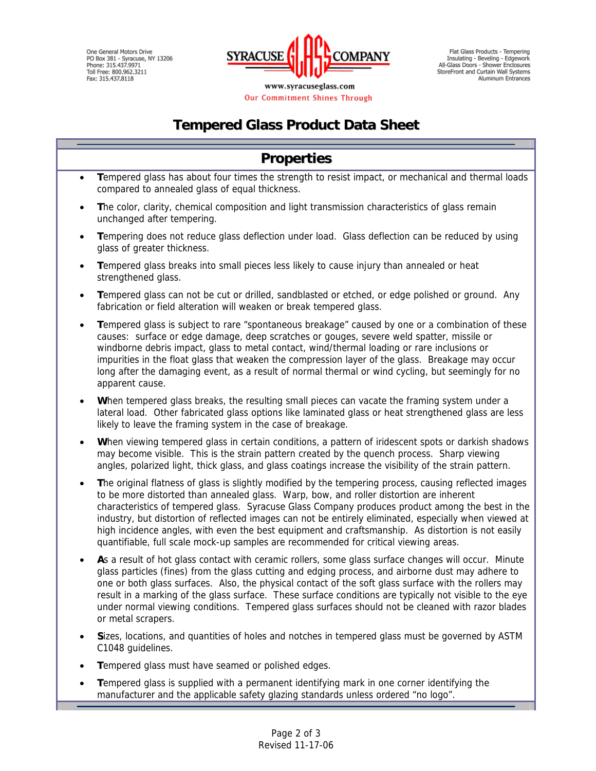One General Motors Drive PO Box 381 - Syracuse, NY 13206<br>PO Box 381 - Syracuse, NY 13206<br>Phone: 315.437.9971 Toll Free: 800.962.3211 Fax: 315.437.8118



Our Commitment Shines Through

Flat Glass Products - Tempering Insulating - Beveling - Edgework<br>All-Glass Doors - Shower Enclosures StoreFront and Curtain Wall Systems Aluminum Entrances

# **Tempered Glass Product Data Sheet**

#### **Properties** • **T**empered glass has about four times the strength to resist impact, or mechanical and thermal loads compared to annealed glass of equal thickness. • **T**he color, clarity, chemical composition and light transmission characteristics of glass remain unchanged after tempering. • **T**empering does not reduce glass deflection under load. Glass deflection can be reduced by using glass of greater thickness. • **T**empered glass breaks into small pieces less likely to cause injury than annealed or heat strengthened glass. • **T**empered glass can not be cut or drilled, sandblasted or etched, or edge polished or ground. Any fabrication or field alteration will weaken or break tempered glass. • **T**empered glass is subject to rare "spontaneous breakage" caused by one or a combination of these causes: surface or edge damage, deep scratches or gouges, severe weld spatter, missile or windborne debris impact, glass to metal contact, wind/thermal loading or rare inclusions or impurities in the float glass that weaken the compression layer of the glass. Breakage may occur long after the damaging event, as a result of normal thermal or wind cycling, but seemingly for no apparent cause. • **W**hen tempered glass breaks, the resulting small pieces can vacate the framing system under a **W** lateral load. Other fabricated glass options like laminated glass or heat strengthened glass are less likely to leave the framing system in the case of breakage. • **W**hen viewing tempered glass in certain conditions, a pattern of iridescent spots or darkish shadows **W** may become visible. This is the strain pattern created by the quench process. Sharp viewing angles, polarized light, thick glass, and glass coatings increase the visibility of the strain pattern. • **T**he original flatness of glass is slightly modified by the tempering process, causing reflected images to be more distorted than annealed glass. Warp, bow, and roller distortion are inherent characteristics of tempered glass. Syracuse Glass Company produces product among the best in the industry, but distortion of reflected images can not be entirely eliminated, especially when viewed at high incidence angles, with even the best equipment and craftsmanship. As distortion is not easily quantifiable, full scale mock-up samples are recommended for critical viewing areas. • **A**s a result of hot glass contact with ceramic rollers, some glass surface changes will occur. Minute **A** glass particles (fines) from the glass cutting and edging process, and airborne dust may adhere to one or both glass surfaces. Also, the physical contact of the soft glass surface with the rollers may result in a marking of the glass surface. These surface conditions are typically not visible to the eye under normal viewing conditions. Tempered glass surfaces should not be cleaned with razor blades or metal scrapers. • **S**izes, locations, and quantities of holes and notches in tempered glass must be governed by ASTM C1048 guidelines. **Tempered glass must have seamed or polished edges.**

• **T**empered glass is supplied with a permanent identifying mark in one corner identifying the manufacturer and the applicable safety glazing standards unless ordered "no logo".